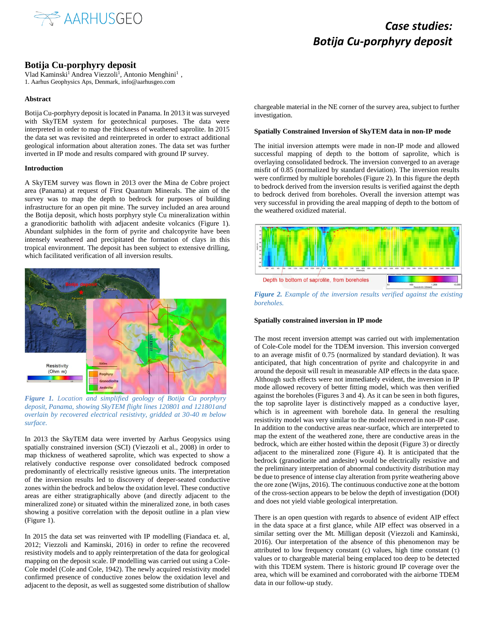

### *Case studies: Botija Cu-porphyry deposit*

### **Botija Cu-porphyry deposit**

Vlad Kaminski<sup>1</sup> Andrea Viezzoli<sup>1</sup>, Antonio Menghini<sup>1</sup>, 1. Aarhus Geophysics Aps, Denmark, info@aarhusgeo.com

### **Abstract**

Botija Cu-porphyry deposit is located in Panama. In 2013 it was surveyed with SkyTEM system for geotechnical purposes. The data were interpreted in order to map the thickness of weathered saprolite. In 2015 the data set was revisited and reinterpreted in order to extract additional geological information about alteration zones. The data set was further inverted in IP mode and results compared with ground IP survey.

### **Introduction**

A SkyTEM survey was flown in 2013 over the Mina de Cobre project area (Panama) at request of First Quantum Minerals. The aim of the survey was to map the depth to bedrock for purposes of building infrastructure for an open pit mine. The survey included an area around the Botija deposit, which hosts porphyry style Cu mineralization within a granodioritic batholith with adjacent andesite volcanics (Figure 1). Abundant sulphides in the form of pyrite and chalcopyrite have been intensely weathered and precipitated the formation of clays in this tropical environment. The deposit has been subject to extensive drilling, which facilitated verification of all inversion results.



*Figure 1. Location and simplified geology of Botija Cu porphyry deposit, Panama, showing SkyTEM flight lines 120801 and 121801and overlain by recovered electrical resistivty, gridded at 30-40 m below surface.*

In 2013 the SkyTEM data were inverted by Aarhus Geopysics using spatially constrained inversion (SCI) (Viezzoli et al., 2008) in order to map thickness of weathered saprolite, which was expected to show a relatively conductive response over consolidated bedrock composed predominantly of electrically resistive igneous units. The interpretation of the inversion results led to discovery of deeper-seated conductive zones within the bedrock and below the oxidation level. These conductive areas are either stratigraphically above (and directly adjacent to the mineralized zone) or situated within the mineralized zone, in both cases showing a positive correlation with the deposit outline in a plan view (Figure 1).

In 2015 the data set was reinverted with IP modelling (Fiandaca et. al, 2012; Viezzoli and Kaminski, 2016) in order to refine the recovered resistivity models and to apply reinterpretation of the data for geological mapping on the deposit scale. IP modelling was carried out using a Cole-Cole model (Cole and Cole, 1942). The newly acquired resistivity model confirmed presence of conductive zones below the oxidation level and adjacent to the deposit, as well as suggested some distribution of shallow chargeable material in the NE corner of the survey area, subject to further investigation.

### **Spatially Constrained Inversion of SkyTEM data in non-IP mode**

The initial inversion attempts were made in non-IP mode and allowed successful mapping of depth to the bottom of saprolite, which is overlaying consolidated bedrock. The inversion converged to an average misfit of 0.85 (normalized by standard deviation). The inversion results were confirmed by multiple boreholes (Figure 2). In this figure the depth to bedrock derived from the inversion results is verified against the depth to bedrock derived from boreholes. Overall the inversion attempt was very successful in providing the areal mapping of depth to the bottom of the weathered oxidized material.



*Figure 2. Example of the inversion results verified against the existing boreholes.*

### **Spatially constrained inversion in IP mode**

The most recent inversion attempt was carried out with implementation of Cole-Cole model for the TDEM inversion. This inversion converged to an average misfit of 0.75 (normalized by standard deviation). It was anticipated, that high concentration of pyrite and chalcopyrite in and around the deposit will result in measurable AIP effects in the data space. Although such effects were not immediately evident, the inversion in IP mode allowed recovery of better fitting model, which was then verified against the boreholes (Figures 3 and 4). As it can be seen in both figures, the top saprolite layer is distinctively mapped as a conductive layer, which is in agreement with borehole data. In general the resulting resistivity model was very similar to the model recovered in non-IP case. In addition to the conductive areas near-surface, which are interpreted to map the extent of the weathered zone, there are conductive areas in the bedrock, which are either hosted within the deposit (Figure 3) or directly adjacent to the mineralized zone (Figure 4). It is anticipated that the bedrock (granodiorite and andesite) would be electrically resistive and the preliminary interpretation of abnormal conductivity distribution may be due to presence of intense clay alteration from pyrite weathering above the ore zone (Wijns, 2016). The continuous conductive zone at the bottom of the cross-section appears to be below the depth of investigation (DOI) and does not yield viable geological interpretation.

There is an open question with regards to absence of evident AIP effect in the data space at a first glance, while AIP effect was observed in a similar setting over the Mt. Milligan deposit (Viezzoli and Kaminski, 2016). Our interpretation of the absence of this phenomenon may be attributed to low frequency constant (c) values, high time constant  $(\tau)$ values or to chargeable material being emplaced too deep to be detected with this TDEM system. There is historic ground IP coverage over the area, which will be examined and corroborated with the airborne TDEM data in our follow-up study.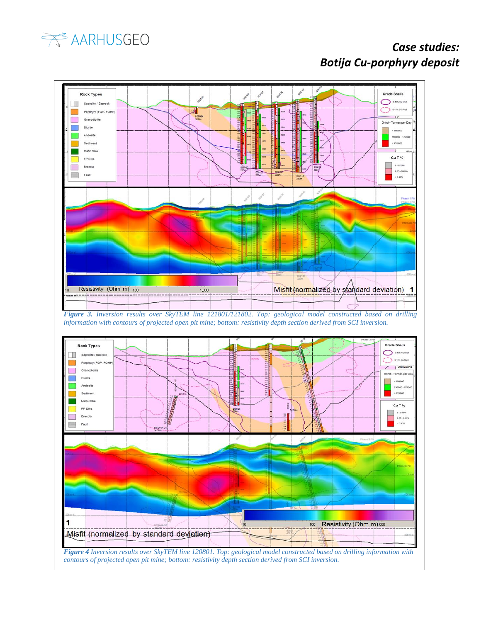

# *Case studies: Botija Cu-porphyry deposit*